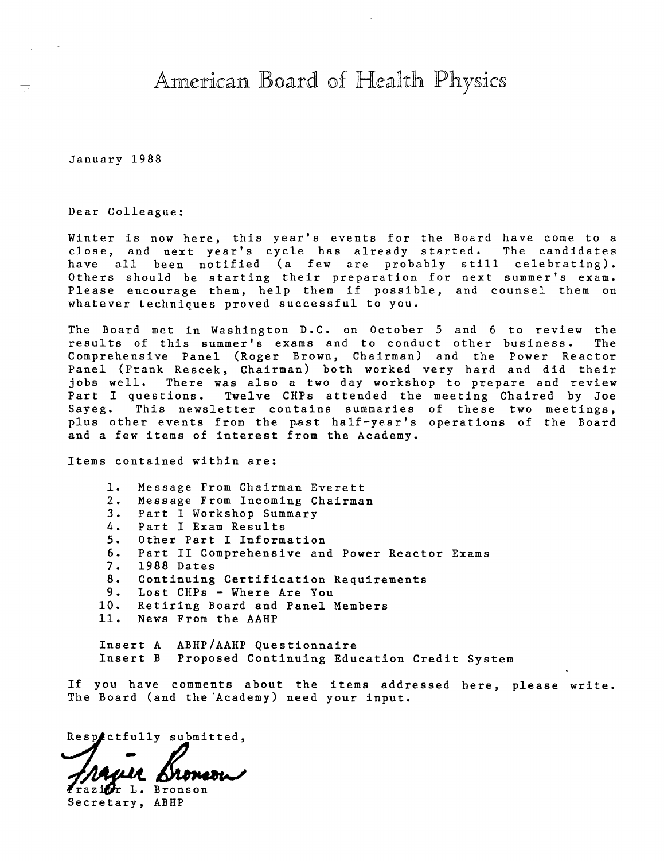American Board of Health Physics

January 1988

Dear Colleague:

Winter is now here, this year's events for the Board have come to a close, and next year's cycle has already started. The candidates have all been notified (a few are probably still celebrating). Others should be starting their preparation for next summer's exam. Please encourage them, help them if possible, and counsel them on whatever techniques proved successful to you.

The Board met in Washington D.C. on October 5 and 6 to review the results of this summer's exams and to conduct other business. The Comprehensive Panel (Roger Brown, Chairman) and the Power Reactor Panel (Frank Rescek, Chairman) both worked very hard and did their jobs well. There was also a two day workshop to prepare and review<br>Part I questions. Twelve CHPs attended the meeting Chaired by Joe Twelve CHPs attended the meeting Chaired by Joe Sayeg. This newsletter contains summaries of these two meetings, plus other events from the past half-year's operations of the Board and a few items of interest from the Academy.

Items contained within are:

- 1. Message From Chairman Everett
- 2. Message From Incoming Chairman
- 3. Part I Workshop Summary
- 4. Part I Exam Results
- 5. Other Part I Information
- 6. Part II Comprehensive and Power Reactor Exams
- 7. 1988 Dates
- 8. Continuing Certification Requirements<br>9. Lost CHPs Where Are You
- 9. Lost CHPs Where Are You<br>10. Retiring Board and Panel 1
- Retiring Board and Panel Members
- 11. News From the AAHP

Insert A ABHP/AAHP Questionnaire Insert B Proposed Continuing Education Credit System

If you have comments about the items addressed here, please write. The Board (and the'Academy) need your input.

Respectfully submitted,

/ MULA EXPRESIA

Secretary, ABHP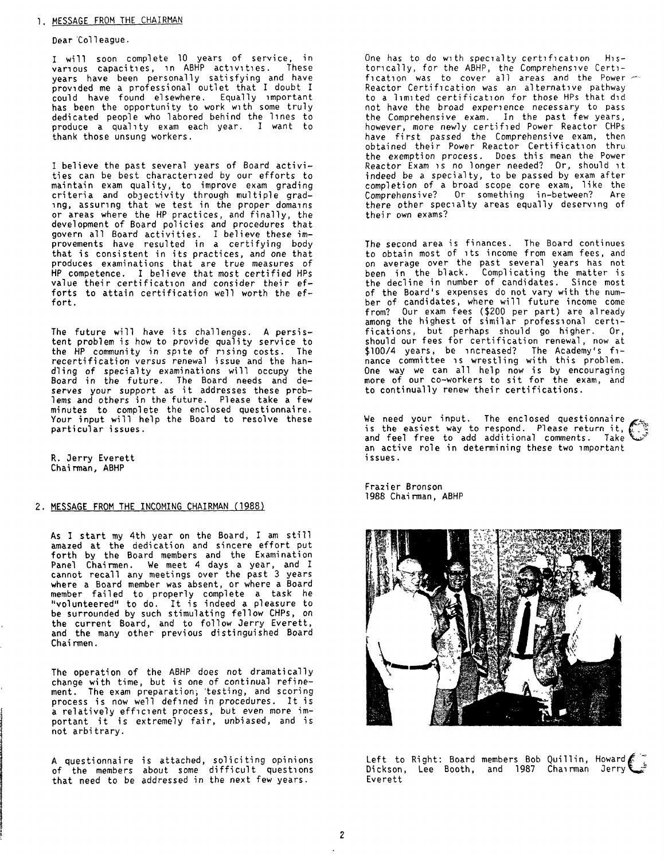# 1. MESSAGE FROM THE CHAIRMAN

#### Dear 'Colleague.

I will soon complete 10 years of service, in<br>various capacities, in ABHP activities. These years have been personally satisfying and have provided me a professional outlet that I doubt I could **have** found elsewhere. Equally important has been the opportunity to work with some truly dedicated people who labored behind the 1 ines to produce a quality exam each year. I want to thank those unsung workers.

1 believe the past several years of Board activities can be best character, zed by our efforts to maintain exam quality, to improve exam grading criteria and obJectivity through multiple grading, assuring that we test in the proper domains or areas where the HP practices, and finally, the development of Board policies and procedures that govern all Board activities. I believe these improvements have resulted in a certifying body that is consistent in its practices, and one that produces examinations that are true measures of HP competence. I believe that most certified HPs value their certification and consider their efforts to attain certification well worth the effort.

The future will have its challenges. A persistent problem is how to provide quality service to the HP community in spite of rising costs. The recertification versus renewal issue and the handling of specialty examinations will occupy the Board in the future. The Board needs and de-**serves** your support as it addresses these problems and others in the future. Please take a few minutes to complete the enclosed questionnaire. Your input will help the Board to resolve these particular issues.

R. Jerry Everett Chairman, ABHP

## 2. MESSAGE FROM THE INCOMING CHAIRMAN (1988}

As I start my 4th year on the Board, I am still amazed at the dedication and sincere effort put forth by the Board members and the Examination Panel Chairmen. We meet 4 days a year, and I cannot recall any meetings over the past 3 years where a Board member was absent, or where a Board member failed to properly complete a task he "volunteered" to do. It is indeed a pleasure to be surrounded by such stimulating fellow CHPs, on the current Board, and to follow Jerry Everett, and the many other previous distinguished Board Chairmen.

The operation of the ABHP does not dramatically change with time, but is one of continual refinement. The exam preparation; 'testing, and scoring process is now well defined in procedures. It is a relatively efficient process, but even more ima relatively efficient process, but even more im-<br>portant it is extremely fair, unbiased, and is not arbitrary.

A questionnaire is attached, soliciting opinions of the members about some difficult questions that need to be addressed in the next few years.

One has to do with specialty certification Historically, for the ABHP, the Comprehensive Cert1 fication was to cover all areas and the Power Reactor Certification was an alternative pathway to a l1m1ted certification for those HPs that did not have the broad experience necessary to pass the Comprehensive exam. In the past few years, however, more newly certified Power Reactor CHPs have first passed the Comprehensive exam, then obtained their Power Reactor Certification thru the exemption process. Does this mean the Power Reactor Exam 1s no longer needed? Or, should 1t indeed be a specialty, to be passed by exam after completion of a broad scope core exam, like the Comprehensive? Or something in-between? Are there other specialty areas equally deserving of their own exams?

The second area is finances. The Board continues to obtain most of its income from exam fees, and on average over the past several years has not been in the black. Complicating the matter is the decline in number of candidates. Since most of the Board's expenses do not vary with the num- ber of candidates, where will future income come from? Our exam fees (\$200 per part) are already among the highest of similar professional certifications, but perhaps should go higher. Or, should our fees for certification renewal, now at \$100/4 years, be increased? The Academy's fi-<br>nance committee is wrestling with this problem. One way we can all help now is by encouraging<br>more of our co-workers to sit for the exam, and to continually renew their certifications.

We need your input. The enclosed questionnaire is the easiest way to respond. Please return it, and feel free to add additional comments. Take an active role in determining these two important issues.

Frazier Bronson 1988 Chairman, ABHP



Left to Right: Board members Bob Quillin, Howard/·: Di ck son, Lee Booth, and 1987 Cha, rman Jerry V Everett

2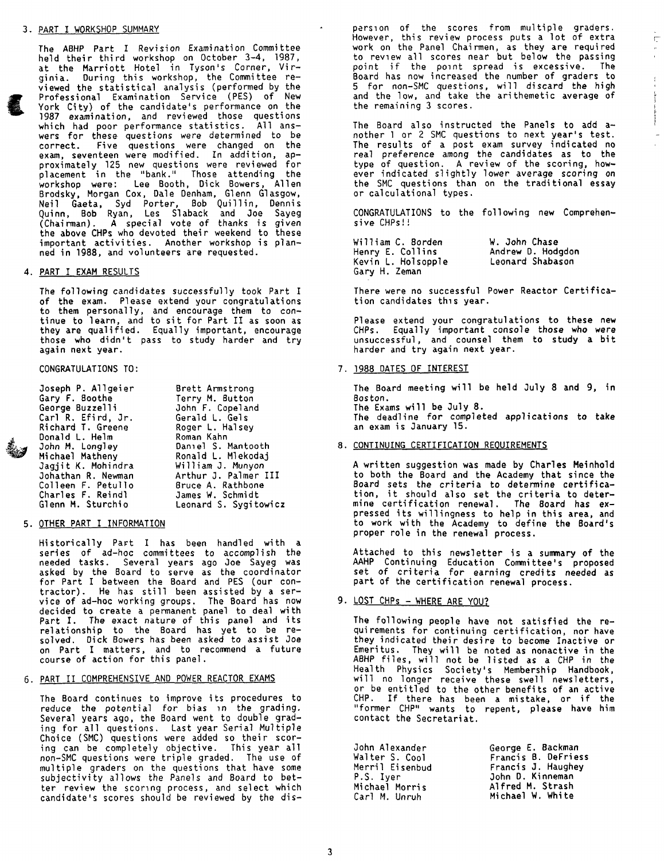#### 3. PART I WORKSHOP SUMMARY

The ABHP Part I Revision Examination Committee held their third workshop *on* October 3-4, 1987, at the Marriott Hotel in Tyson's Corner, Virginia. During this workshop, the Committee reviewed the statistical analysis (performed by the Professional Examination Service (PES) of New York City) of the candidate's performance on the 1987 examination, and reviewed those questions which had poor performance statistics. All ans wers for these questions were determined to be correct. Five questions were changed on the exam, seventeen were modified. In addition, approximately 125 new questions were reviewed for placement in the "bank." Those attending the workshop were: Lee Booth, Dick Bowers, Allen Brodsky, Morgan Cox, Dale Denham, Glenn Glasgow, Neil Gaeta, Syd Porter, Bob Quillin, Dennis Quinn, Bob Ryan, Les Sl aback and Joe Sayeg (Chairman). A special vote of thanks is given the above CHPs who devoted their weekend to these important activities. Another workshop is planned in 1988, and volunteers are requested.

## 4. PART I **EXAM** RESULTS

The following candidates successfully took Part I of the exam. Please extend your congratulations to them persona 11 y, and encourage them to *con*tinue to learn, and to sit for Part II as soon as they are qualified. Equally important, encourage those who didn't pass to study harder and try again next year.

## CONGRATULATIONS TO:

| Joseph P. Allgeier | Brett Armstrong       |
|--------------------|-----------------------|
| Gary F. Boothe     | Terry M. Button       |
| George Buzzelli    | John F. Copeland      |
| Carl R. Efird, Jr. | Gerald L. Gels        |
| Richard T. Greene  | Roger L. Halsey       |
| Donald L. Helm     | Roman Kahn            |
| John M. Longley    | Daniel S. Mantooth    |
| Michael Matheny    | Ronald L. Mlekodaj    |
| Jaqiit K. Mohindra | William J. Munyon     |
| Johathan R. Newman | Arthur J. Palmer III  |
| Colleen F. Petullo | Bruce A. Rathbone     |
| Charles F. Reindl  | James W. Schmidt      |
| Glenn M. Sturchio  | Leonard S. Sygitowicz |

## 5. OTHER PART I INFORMATION

Historically Part I has been handled with <sup>a</sup> series of ad-hoc committees to accomplish the needed tasks. Several years ago Joe Sayeg was asked by the Board to serve as the coordinator for Part I between the Board and PES (our contractor). He has still been assisted by a service of ad-hoc working groups. The Board has now decided to create a permanent panel to deal with<br>Part I. The exact nature of this panel and its The exact nature of this panel and its relationship to the Board has yet to be re solved. Dick Bowers has been asked to assist Joe on Part I matters, and to recommend a future course of action for this panel.

# 6. PART II COMPREHENSIVE AND POWER REACTOR EXAMS

The Board continues to improve its procedures to reduce the potential for bias in the grading. Several years ago, the Board went to double grading for all questions. Last year Serial Multiple Choice (SMC) questions were added so their scoring can be completely objective. This year all non-SMC questions were triple graded. The use of multiple graders on the questions that have some subjectivity allows the Panels and Board to better review the scoring process, and select which candidate's scores should be reviewed by the dispersion of the scores from multiple graders. However, this review process puts a lot of extra work on the Panel Chairmen, as they are required to review all scores near but below the passing point if the point spread is excessive. The Board has now increased the number of graders to 5 for non-SMC questions, will discard the high and the low, and take the arithemetic average of the remaining 3 scores.

r:-- $\mu$  $\mathbf{r}$ 

 $\frac{1}{2}$ management

The Board also instructed the Panels to add another 1 or 2 SMC questions to next year's test. The results of a post exam survey indicated no real preference among the candidates as to the type of question. A review of the scoring, how ever indicated slightly lower average scoring on the SMC questions than on the traditional **essay** or calculational types.

CONGRATULATIONS to the following new Comprehensive CHPs!!

William C. Borden Henry E. Collins Kevin L. Holsopple Gary H. Zeman W. John Chase Andrew D. Hodgdon Leonard Shabason

There were no successful Power Reactor Certification candidates this year.

Please extend your congratulations to these new CHPs. Equally important console those who **were** unsuccessful, and counsel them to study a bit harder and try again next year.

# 7. 1988 DATES OF INTEREST

The Board meeting will be held July 8 and 9, in Boston. The Exams will be July 8. The deadline for completed applications to **take**  an exam is January 15.

# 8. CONTINUING CERTIFICATION REQUIREMENTS

A written suggestion was made by **Charles** Meinhold to both the Board and the Academy that since the Board sets the criteria to determine certification, it should also set the criteria to determine certification renewal. The Board has *ex*pressed its willingness to help in this area, and to work with the Academy to define the Board's proper role in the renewal process.

Attached to this newsletter is a summary of the AAHP Continuing Education Committee's proposed set of criteria for earning credits needed as part of the certification renewal process.

# 9. LOST CHPs - WHERE ARE YOU?

The following people have not satisfied the requirements for continuing certification, nor have they indicated their desire to become Inactive or Emeritus. They wi 11 be noted as nonactive in the ABHP files, will not be listed **as a** CHP in the Health Physics Society's Membership Handbook, will no longer receive these swell newsletters,<br>or be entitled to the other benefits of an active CHP. If there has been **a** mis take, or if the "former CHP<sup>11</sup>wants to repent, please have him contact the Secretariat.

| George E. Backman   |
|---------------------|
| Francis B. Defriess |
| Francis J. Haughey  |
| John D. Kinneman    |
| Alfred M. Strash    |
| Michael W. White    |
|                     |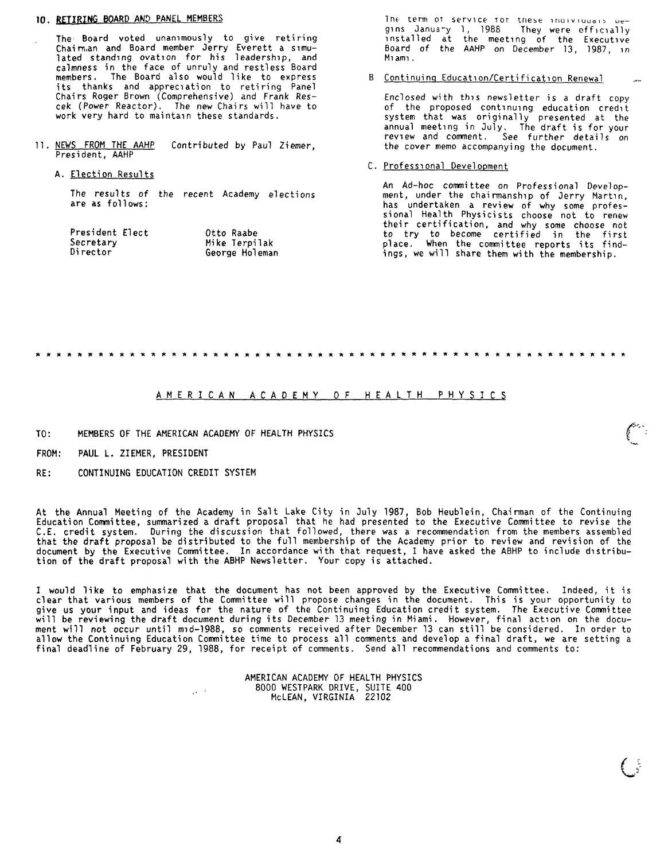# **10. RETIRING BOARD AND PANEL MEMBERS**

The· Board voted unanimously to give retiring Chai n;,an and Board member Jerry Everett a simulated standing ovation for his leadership, and calmness in the face of unruly and restless Board members. The Board also would like to express its thanks and appreciation to retiring Panel Chairs Roger Brown (Comprehensive) and Frank Rescek (Power Reactor). The new Chairs will have to work very hard to maintain these standards.

- 11. NEWS FROM THE AAHP President, AAHP Contributed by Paul Ziemer,
	- A. Election Results

The results of the recent Academy elections are as follows:

| President Elect | Otto Raabe     |
|-----------------|----------------|
| Secretarv       | Mike Terpilak  |
| Director        | George Holeman |

The term of service for these individuals uegins January 1, 1988 They were officially installed at the meeting of the Executive Boa rd of the AAHP on December 13, 1987, *,n*  M1am1.

# B Continuing Education/Certification Renewal

Enclosed with this newsletter is a draft copy of the proposed continuing education credit system that was originally presented at the annual meeting in July. The draft is for your review and comment. See further details on the cover memo accompanying the document.

#### C. Professional Development

An Ad-hoc committee on Professional Development, under the chairmanship of Jerry Martin, has undertaken a review of why some professional Health Physicists choose not to renew their certification, and why some choose not to try to become certified in the first place. When the committee reports its findings, we will share them with the membership.

# A M E R I C A N A C A *D* E M Y O F H E A L T H *P* H Y S I C S

TO: MEMBERS OF THE AMERICAN ACADEMY OF HEALTH PHYSICS

 $\sqrt{s} = 2$ 

- FROM: PAUL L. ZIEMER. PRESIDENT
- RE: CONTINUING EDUCATION CREDIT SYSTEM

At the Annual Meeting of the Academy in Salt Lake City in July 1987, Bob Heublein, Chairman of the Continuing Education Committee, summarized a draft proposal that he had presented to the Executive Committee to revise the C.E. credit system. During the discussion that followed, there was a recommendation from the members assembled that the draft proposal be distributed to the full membership of the Academy prior to review and revision of the document by the Executive Committee. In accordance with that request, I have asked the ABHP to include distribution of the draft proposal with the ABHP Newsletter. Your copy is attached.

I would like to emphasize that the document has not been approved by the Executive Committee. Indeed, it is clear that various members of the Committee will propose changes in the document. This is your opportunity to give us your input and ideas for the nature of the Continuing Education credit system. The Executive Committee will be reviewing the draft document during its December 13 meeting in Miami. However, final action on the document will not occur until mid-1988, so comments received after December 13 can still be considered. In order to allow the Continuing Education Committee time to process all comments and develop a final draft, we are setting a final deadline of February 29, 1988, for receipt of comments. Send all recommendations and comments to:

> AMERICAN ACADEMY OF HEALTH PHYSICS 8000 WESTPARK DRIVE, SUITE 400 McLEAN, VIRGINIA<sup>22102</sup>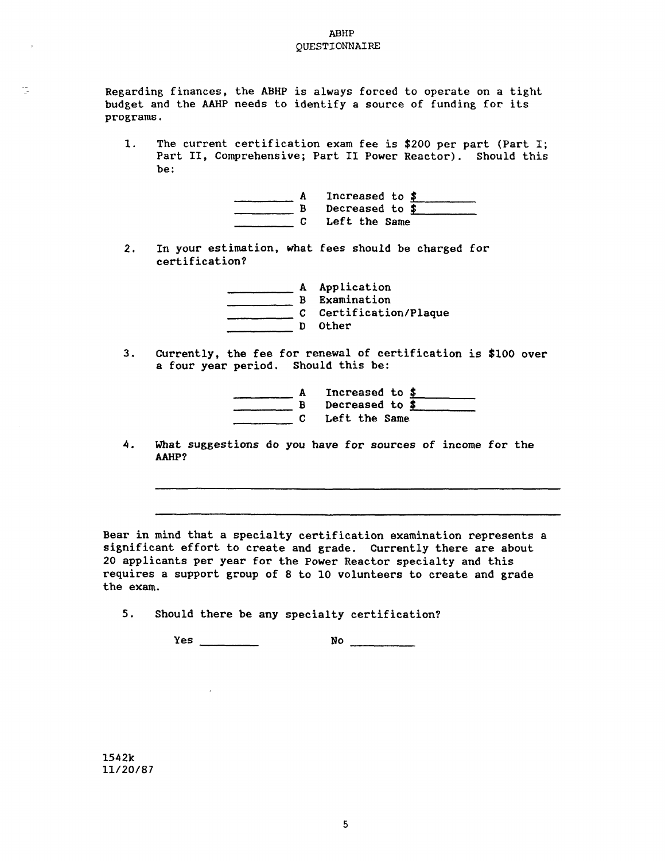# ABHP QUESTIONNAIRE

Regarding finances, the ABHP is always forced to operate on a tight budget and the AAHP needs to identify <sup>a</sup>source of funding for its programs.

1. The current certification exam fee is \$200 per part (Part I; Part II, Comprehensive; Part II Power Reactor). Should this be:

|  | Increased to $$$ |
|--|------------------|
|  | Decreased to \$  |
|  | Left the Same    |

2. In your estimation, what fees should be charged for certification?

|         | Application<br>Examination    |
|---------|-------------------------------|
| C.<br>D | Certification/Plaque<br>Other |

3. currently, the fee for renewal of certification is \$100 over a four year period. Should this be:

|  | Increased to \$ |
|--|-----------------|
|  | Decreased to \$ |
|  | Left the Same   |

4. What suggestions do you have for sources of income for the **AAHP?** 

Bear in mind that <sup>a</sup>specialty certification examination represents <sup>a</sup> significant effort to create and grade. currently there are about <sup>20</sup>applicants per year for the Power Reactor specialty and this requires <sup>a</sup>support group of 8 to 10 volunteers to create and grade the exam.

5. Should there be any specialty certification?

 $\sim 10^{-1}$ 

Yes **No \_\_\_\_ \_** 

1542k 11/20/87

 $\bar{t}$ 

Ţ.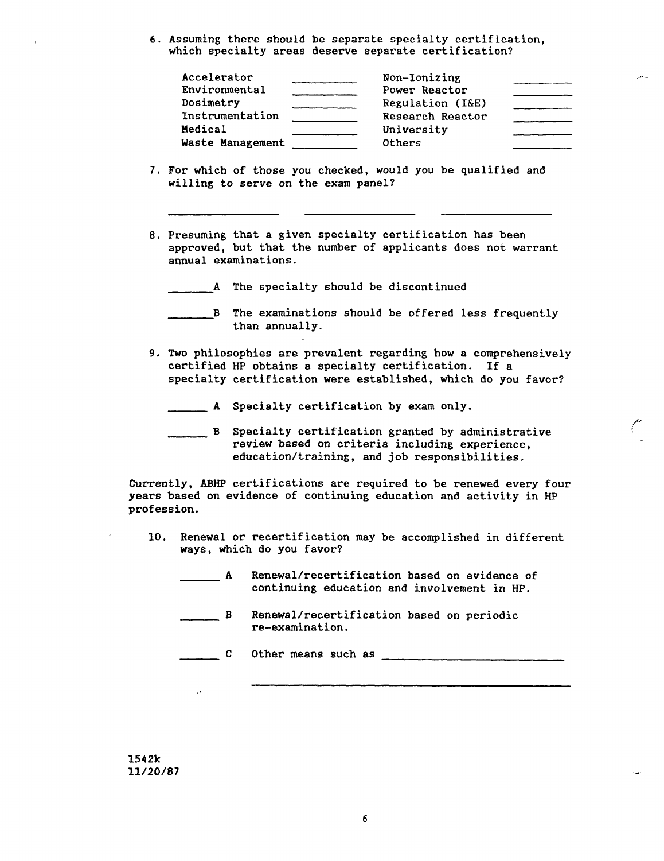6. Assuming there should be separate specialty certification, which specialty areas deserve separate certification?

| Accelerator      | Non-Ionizing     |  |
|------------------|------------------|--|
| Environmental    | Power Reactor    |  |
| Dosimetry        | Regulation (I&E) |  |
| Instrumentation  | Research Reactor |  |
| Medical          | University       |  |
| Waste Management | Others           |  |

- 7. For which of those you checked, would you be qualified and willing to serve on the exam panel?
- 8. Presuming that a given specialty certification has been approved, but that the number of applicants does not warrant annual examinations.

A The specialty should be discontinued

- B The examinations should be offered less frequently than annually.
- 9. Two philosophies are prevalent regarding how a comprehensively certified HP obtains a specialty certification. If a specialty certification were established, which do you favor?
	- **A** Specialty certification by exam only.
	- B Specialty certification granted by administrative **review** based on criteria including experience, education/training, and job responsibilities.

Currently, ABHP certifications are required to be renewed every four **years** based on evidence of continuing education and activity in HP profession.

- 10. Renewal or recertification may be accomplished in different **ways, which** do you favor?
	- A Renewal/recertification based on evidence of<br>continuing education and involvement in HP.
	- \_\_\_ B Renewal/recertification based on periodic re-examination.

\_\_\_ C Other means such as

**1542k 11/20/87** 

6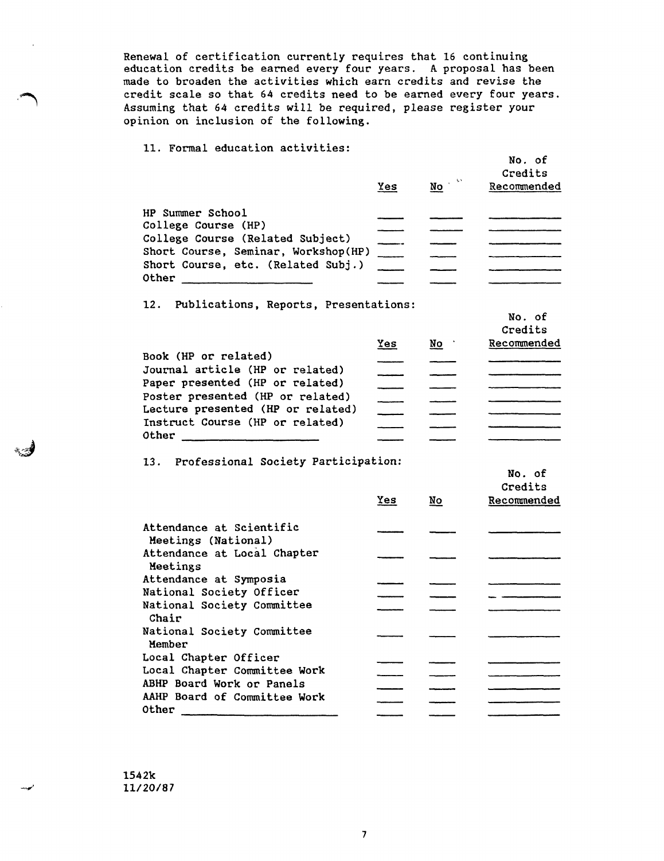Renewal of certification currently requires that 16 continuing education credits be earned every four years. A proposal has been made to broaden the activities which earn credits and revise the credit scale so that 64 credits need to be earned every four years. Assuming that 64 credits will be required, please register your opinion on inclusion of the following.

11. Formal education activities:

|                                             | Yes | No | Credits<br>Recommended |
|---------------------------------------------|-----|----|------------------------|
| <b>HP Summer School</b>                     |     |    |                        |
| College Course (HP)                         |     |    |                        |
| College Course (Related Subject)            |     |    |                        |
| Short Course, Seminar, Workshop(HP)         |     |    |                        |
| Short Course, etc. (Related Subj.)<br>Other |     |    |                        |
|                                             |     |    |                        |

No. of

No. of

12. Publications, Reports, Presentations:

|                                                                       |     |    | Credits     |
|-----------------------------------------------------------------------|-----|----|-------------|
|                                                                       | Yes | No | Recommended |
| Book (HP or related)                                                  |     |    |             |
| Journal article (HP or related)                                       |     |    |             |
| Paper presented (HP or related)                                       |     |    |             |
| Poster presented (HP or related)<br>Lecture presented (HP or related) |     |    |             |
|                                                                       |     |    |             |
| Instruct Course (HP or related)                                       |     |    |             |
| Other                                                                 |     |    |             |

13. Professional Society Participation:

|                                                 |            |                         | No. of<br>Credits |
|-------------------------------------------------|------------|-------------------------|-------------------|
|                                                 | <b>Yes</b> | $\underline{\text{No}}$ | Recommended       |
| Attendance at Scientific<br>Meetings (National) |            |                         |                   |
| Attendance at Local Chapter<br>Meetings         |            |                         |                   |
| Attendance at Symposia                          |            |                         |                   |
| National Society Officer                        |            |                         |                   |
| National Society Committee<br>Chair             |            |                         |                   |
| National Society Committee<br>Member            |            |                         |                   |
| Local Chapter Officer                           |            |                         |                   |
| Local Chapter Committee Work                    |            |                         |                   |
| ABHP Board Work or Panels                       |            |                         |                   |
| AAHP Board of Committee Work                    |            |                         |                   |
| Other                                           |            |                         |                   |
|                                                 |            |                         |                   |
|                                                 |            |                         |                   |

1542k 11/20/87

文明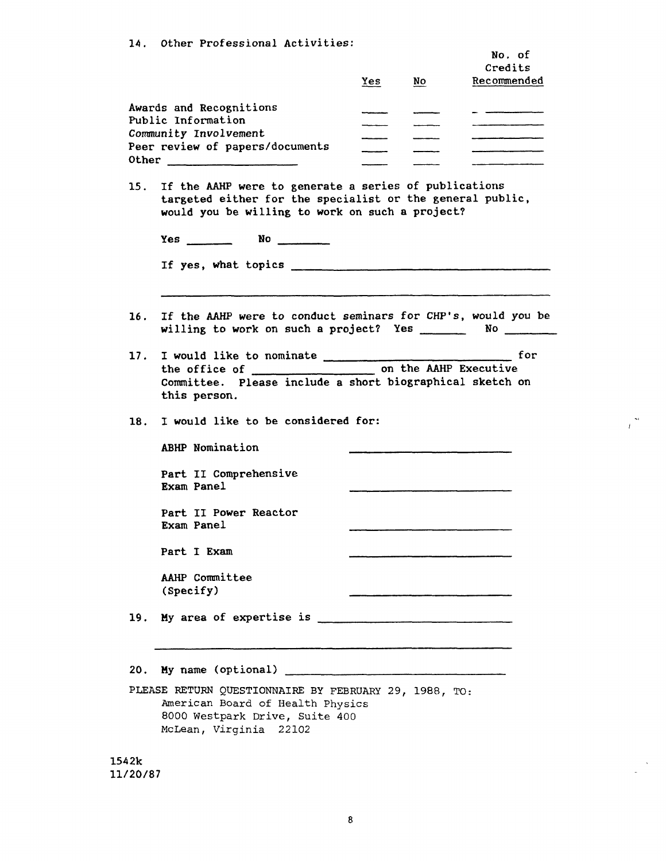|            | 14. Other Professional Activities:                                                                                                                                        | Yes | No            | No. of<br>Credits<br>Recommended |
|------------|---------------------------------------------------------------------------------------------------------------------------------------------------------------------------|-----|---------------|----------------------------------|
|            | Awards and Recognitions<br>Public Information<br>Community Involvement<br>Peer review of papers/documents                                                                 |     | $\frac{1}{2}$ |                                  |
|            | 15. If the AAHP were to generate a series of publications<br>targeted either for the specialist or the general public,<br>would you be willing to work on such a project? |     |               |                                  |
|            | $Yes$ No $N$                                                                                                                                                              |     |               |                                  |
|            |                                                                                                                                                                           |     |               |                                  |
| 16.        | If the AAHP were to conduct seminars for CHP's, would you be<br>willing to work on such a project? Yes _________ No _______                                               |     |               |                                  |
|            |                                                                                                                                                                           |     |               |                                  |
|            | Committee. Please include a short biographical sketch on<br>this person.                                                                                                  |     |               | for for <b>f</b>                 |
|            | I would like to be considered for:                                                                                                                                        |     |               |                                  |
| 17.<br>18. | ABHP Nomination                                                                                                                                                           |     |               |                                  |
|            | Part II Comprehensive<br>Exam Panel                                                                                                                                       |     |               |                                  |
|            | Part II Power Reactor<br>Exam Panel                                                                                                                                       |     |               |                                  |
|            | Part I Exam                                                                                                                                                               |     |               |                                  |
|            | AAHP Committee<br>(Specify)                                                                                                                                               |     |               |                                  |
|            | 19. My area of expertise is $\frac{1}{2}$ and $\frac{1}{2}$ area of expertise is $\frac{1}{2}$                                                                            |     |               |                                  |
|            |                                                                                                                                                                           |     |               |                                  |

 $\frac{2\pi}{L}$ 

 $\sim$  $\mathbf{L}$ 

American Board of Health Physics 8000 Westpark Drive, Suite 400 McLean, Virginia 22102

1542k 11/20/87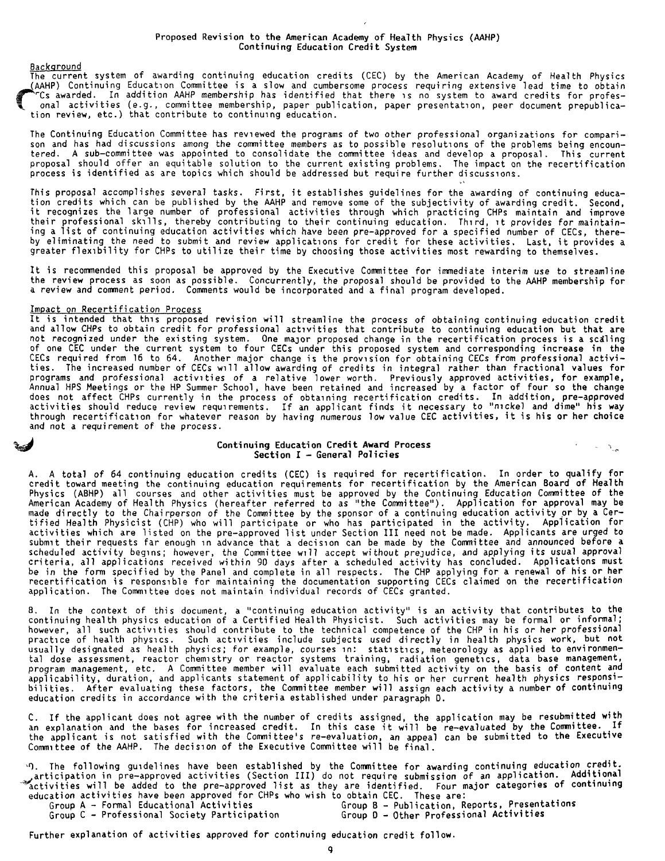<u>Background</u><br>The current system of awarding continuing education credits (CEC) by the American Academy of Health Physics (AAHP) Continuing Education Committee is a slow and cumbersome process requiring extensive lead time to obtain<br>Physical American Academy of Health Physics (AAHP) membersome process requiring extensive lead time to obtain onal activities (e.g., committee membership, paper publication, paper presentation, peer document prepublica-<br>tion review, etc.) that contribute to continuing education.

The Continuing Education Committee has reviewed the programs of two other professional organizations for compari-<br>son and has had discussions among the committee members as to possible resolutions of the problems being enc proposal should offer an equitable solution to the current existing problems. The impact on the recertification process is identified as are topics which should be addressed but require further discussions.

This proposal accomplishes several tasks. First, it establishes guidelines for the awarding of continuing education credits which can be published by the AAHP and remove some of the subjectivity of awarding credit. Second, their professional skills, thereby contributing to their continuing education. Third, it provides for maintaining a list of continuing education activities which have been pre-approved for a specified number of CECs, thereby eliminating the need *to* submit and review applications for credit for these activities. Last, it provides a greater flexibility for CHPs to utilize their time by choosing those activities most rewarding to themselves.

It is recommended this proposal be approved by the Executive Committee for immediate interim use to streamline the review process as soon as possible. Concurrently, the proposal should be provided to the AAHP membership for a review and comment period. Comments would be incorporated and a final program developed.

## Impact on Recertification Process

It is intended that this proposed revision will streamline the process of obtaining continuing education credit and allow CHPs to obtain credit for professional activities that contribute to continuing education but that are not recognized under the existing system. One major proposed change in the recertification process is a scaling of one CEC under the current system to four CECs under this proposed system and corresponding increase in the CECs required from 16 to 64. Another major change is the provision for obtaining CECs from professional activities. The increased number of CECs will allow awarding of credits in integral rather than fractional values for<br>programs and professional activities of a relative lower worth. Previously approved activities, for example,<br>A does not affect CHPs currently in the process of obtaining recertification credits. In addition, pre-approved<br>activities should reduce review requirements. If an applicant finds it necessary to "nickel and dime" his way<br>th and not a requirement of the process.

### Continuing Education Credit **Award** Process Section I - General Policies

 $\sim$   $\Delta_{\rm{ph}}$ 

A. A total of 64 continuing education credits (CEC) is required for recertification. In order to qualify for credit toward meeting the continuing education requirements for recertification by the American Board of Health Physics (ABHP) all courses and other activities must be approved by the Continuing Education Committee of the American Academy of Health Physics (hereafter referred to as "the Committee"). Application for approval may be made directly to the Chairperson of the Committee by the sponsor of a continuing education activity or by a Certified Health Physicist (CHP) who will participate or who has participated in the activity. Application for activities which are listed on the pre-approved list under Section III need not be made. Applicants are urged to submit their requests far enough in advance that a decision can be made by the Committee and announced before a scheduled activity begins; however, the Committee will accept without prejudice, and applying its usual approval<br>criteria, all applications received within 90 days after a scheduled activity has concluded. Applications mu be in the fonn specified by the Panel and complete in all respects. The CHP applying for a renewal of his or her recertification is responsible for maintaining the documentation supporting CECs claimed on the recertification application. The Committee does not maintain individual records of CECs granted.

B. In the context of this document, a "continuing education activity" is an activity that contributes to the continuing health physics education of a Certified Health Physicist. Such activities may be fonnal or informal; however, all such activities should contribute to the technical competence of the CHP in his or her professional<br>practice of health physics. Such activities include subjects used directly in health physics work, but not usually designated as health physics; for example, courses in: statistics, meteorology as applied to environmental dose assessment, reactor chemistry or reactor systems training, radiation genetics, data base management, program management, etc. A Committee member will evaluate each submitted activity on the basis of content and applicability, duration, and applicants statement of applicability to his or her current health physics responsi-<br>bilities. After evaluating these factors, the Committee member will assign each activity a number of continu

C. If the applicant does not agree with the number of credits assigned, the application may be resubmitted **with** an explanation and the bases for increased credit. In this case it will be re-evaluated by the Committee. If the applicant is not satisfied with the Committee's re-evaluation, an appeal can be submitted to the Executive<br>Committee of the AAHP. The decision of the Executive Committee will be final.

·O. The following guidelines have been established by the Committee for awarding continuing education credit. articipation in pre-approved activities (Section III) do not require submission of an application. Additional<br>"activities will be added to the pre-approved list as they are identified. Four major categories of continuing education activities have been approved for CHPs who wish to obtain CEC. These are:<br>Group A - Formal Educational Activities 68 6000 B - Publication, R

Group A - Formal Educational Activities Group B - Publication, Reports, Presentations<br>Group C - Professional Society Participation Group D - Other Professional Activities Group D - Other Professional Activities

Further explanation of activities approved for continuing education credit follow.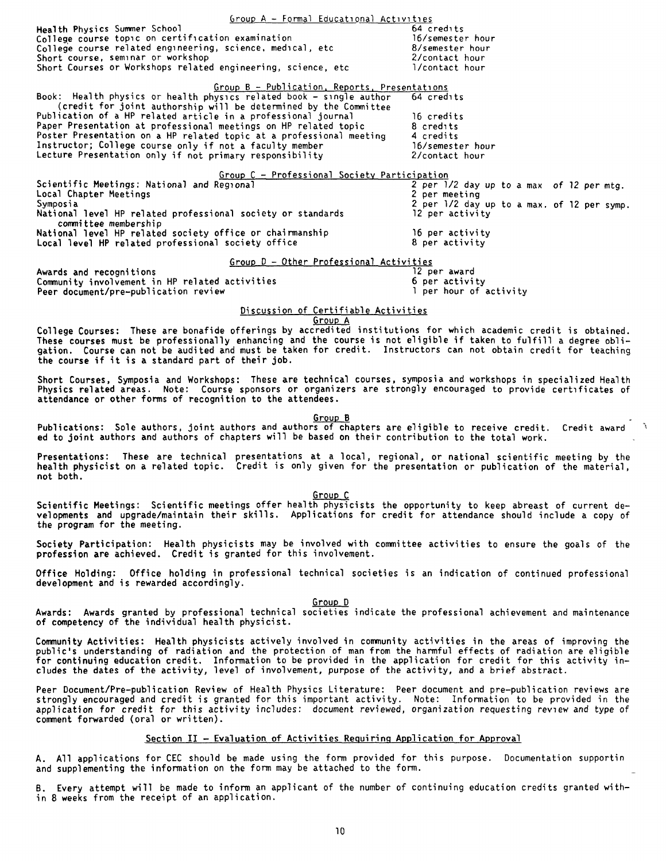$Group A - Formal Educational$  Activities Health Physics Summer School College course topic on certification examination College course related engineering, science, medical, etc.<br>Short course, seminar or workshop Short Courses or Workshops related engineering, science, etc 64 credits 16/semester hour 8/semester hour 2/contact hour 1/contact hour Group B - Publication, Reports, Presentations Book: Health physics or health physics related book - single author 64 credits (credit for joint authorship will be determined by the Committee Publication of a HP related article in a professional journal<br>Paper Presentation at professional meetings on HP related topic Poster Presentation on a HP related topic at a professional meeting Instructor; College course only if not a faculty member Lecture Presentation only if not primary responsibility 16 credits 8 credits 4 credits 16/semester hour 2/contact hour Group C - Professional Society Participation<br>
Correlation Correlation (Scientific Meetings<br>
Local Chapter Meetings (Symposia 2 per neeting Symposia 2 per 1/2 day up<br>
National level HP related professional society or standa National level HP related professional society or standards<br>committee membership National level HP related society office or chairmanship<br>Local level HP related professional society office Group D - Other Professional Activities **Awards and** recognitions 2 per 1/2 day up to a max of 12 per mtg.<br>2 per meeting 2 per 1/2 day up to a max. of 12 per symp.<br>12 per activity 16 per activity 8 per activity 12 per award 6 per activity Conmunity involvement in HP related activities Peer document/pre-publication review Discussion of Certifiable Activities Group A College Courses: These are bonafide offerings by accredited institutions for which academic credit is obtained. These courses must be professionally enhancing and the course is not eligible if taken to fulfill a degree obligation. Course can not be audited and must be taken for credit. Instructors can not obtain credit for teaching the course if it **is a** standard part of their job. Short Courses, Symposia and Workshops: These are technical courses, symposia and workshops in specialized Health Physics related areas. Note: Course sponsors or organizers are strongly encouraged to provide certificates of attendance or other forms of recognition to the attendees. Group B Publications: Sole authors, joint authors and authors of chapters are eligible to receive credit. Credit award ed to joint authors and authors of chapters will be based on their contribution to the total work. Presentations: These are technical presentations at a local, regional, or national scientific meeting by the health physicist on a related topic. Credit is only given for the presentation or publication of the material, not both. Group C Scientific Meetings: Scientific meetings offer health physicists the opportunity to keep abreast of current developments and upgrade/maintain their skills. Applications for credit for attendance should include a copy of the program for the meeting. Society Participation: Health physicists may be involved with committee activities to ensure the goals of the profession are achieved. Credit is granted for this involvement. Office Holding: Office holding in professional technical societies is an indication of continued professional development and is rewarded accordingly. Group D Awards: Awards granted by professional technical societies indicate the professional achievement and maintenance of competency of the individual health physicist. Community Activities: Health physicists actively involved in community activities in the areas of improving the<br>public's understanding of radiation and the protection of man from the harmful effects of radiation are eligib public's understanding of radiation and the protection of man from the harmful effects of radiation are eligible<br>for continuing education credit. Information to be provided in the application for credit for this activity i cludes the dates of the activity, level of involvement, purpose of the activity, and a brief abstract. Peer Document/Pre-publication Review of Health Physics Literature: Peer document and pre-publication reviews are strongly encouraged and credit is granted for this important activity. Note: Information to be provided in the application for credit for this activity includes: document reviewed, organization requesting review and type of

## Section II - Evaluation of Activities Requiring Application for Approval

conment forwarded (oral or written).

A. All applications for CEC should be made using the form provided for this purpose. Documentation supportin<br>and supplementing the information on the form may be attached to the form.

B. Every attempt will be made to inform an applicant of the number of continuing education credits granted within 8 **weeks** from the receipt of an application.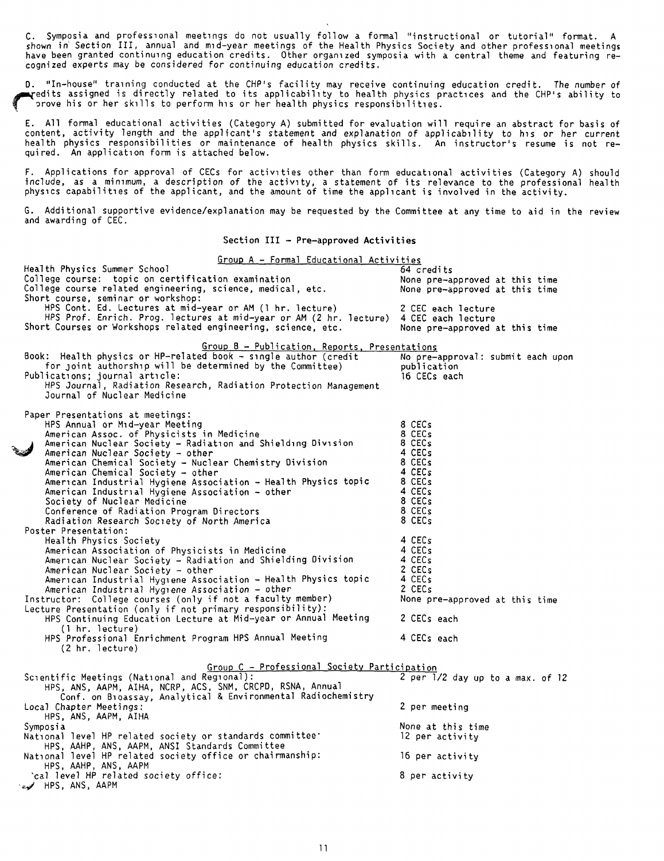C. Symposia and professional meetings do not usually follow a formal "instructional or tutorial" format. A<br>shown in Section III, annual and mid-year meetings of the Health Physics Society and other professional meetings have been granted continuing education credits. Other organized symposia with a central theme and featuring recognized experts may be considered for continuing education credits.

D. "In-house" training conducted at the CHP's facility may receive continuing education credit. The number of ~edits assigned is directly related to its applicability to health physics practices and the CHP's ability to • ?rove his or her skills to perform his or her health physics responsibilities.

E. All formal educational activities (Category A) submitted for evaluation will require an abstract for basis of content, activity length and the applicant's statement and explanation of applicability to his or her current health physics responsibilities or maintenance of health physics skills. An instructor's resume is not required. An application form is attached below.

F. Applications for approval of CECs for activities other than form educational activities (Category A) should include, as a minimum, a description of the activity, a statement of its relevance to the professional health <sup>p</sup>hysics capabilities of the applicant, and the amount of time the applicant is involved in the activity.

G. Additional supportive evidence/explanation may be requested by the Committee at any time to aid in the review and awarding of CEC.

**Section** III - **Pre-approved Activities** 

| Group A - Formal Educational Activities                                               |                                   |
|---------------------------------------------------------------------------------------|-----------------------------------|
| Health Physics Summer School                                                          | 64 credits                        |
| College course: topic on certification examination                                    | None pre-approved at this time    |
| College course related engineering, science, medical, etc.                            | None pre-approved at this time    |
| Short course, seminar or workshop:                                                    |                                   |
|                                                                                       |                                   |
| HPS Cont. Ed. Lectures at mid-year or AM (1 hr. lecture)                              | 2 CEC each lecture                |
| HPS Prof. Enrich. Prog. lectures at mid-year or AM (2 hr. lecture) 4 CEC each lecture |                                   |
| Short Courses or Workshops related engineering, science, etc.                         | None pre-approved at this time    |
|                                                                                       |                                   |
| Group B - Publication, Reports, Presentations                                         |                                   |
| Book: Health physics or HP-related book - single author (credit                       | No pre-approval: submit each upon |
| for joint authorship will be determined by the Committee)                             | publication                       |
| Publications; journal article:                                                        | 16 CECs each                      |
| HPS Journal, Radiation Research, Radiation Protection Management                      |                                   |
| Journal of Nuclear Medicine                                                           |                                   |
|                                                                                       |                                   |
|                                                                                       |                                   |
| Paper Presentations at meetings:                                                      |                                   |
| HPS Annual or Mid-year Meeting                                                        | 8 CECs                            |
| American Assoc. of Physicists in Medicine                                             | 8 CECs                            |
| American Nuclear Society - Radiation and Shielding Division                           | 8 CECs                            |
| American Nuclear Society - other                                                      | 4 CECs                            |
| American Chemical Society - Nuclear Chemistry Division                                | 8 CECs                            |
| American Chemical Society - other                                                     | 4 CECs                            |
| American Industrial Hygiene Association - Health Physics topic                        | 8 CECs                            |
|                                                                                       | 4 CECs                            |
| American Industrial Hygiene Association – other                                       |                                   |
| Society of Nuclear Medicine                                                           | 8 CECs                            |
| Conference of Radiation Program Directors                                             | 8 CECs                            |
| Radiation Research Society of North America                                           | 8 CECs                            |
| Poster Presentation:                                                                  |                                   |
| Health Physics Society                                                                | 4 CECs                            |
| American Association of Physicists in Medicine                                        | 4 CECs                            |
| American Nuclear Society - Radiation and Shielding Division                           | 4 CECs                            |
|                                                                                       | 2 CECs                            |
| American Nuclear Society - other                                                      |                                   |
| American Industrial Hygiene Association - Health Physics topic                        | 4 CECs                            |
| American Industrial Hygiene Association - other                                       | 2 CECs                            |
| Instructor: College courses (only if not a faculty member)                            | None pre-approved at this time    |
| Lecture Presentation (only if not primary responsibility):                            |                                   |
| HPS Continuing Education Lecture at Mid-year or Annual Meeting                        | 2 CECs each                       |
| (1 hr. lecture)                                                                       |                                   |
| HPS Professional Enrichment Program HPS Annual Meeting                                | 4 CECs each                       |
| (2 hr. lecture)                                                                       |                                   |
|                                                                                       |                                   |
| Group C - Professional Society Participation                                          |                                   |
| Scientific Meetings (National and Regional):                                          |                                   |
|                                                                                       | 2 per 1/2 day up to a max. of 12  |
| HPS, ANS, AAPM, AIHA, NCRP, ACS, SNM, CRCPD, RSNA, Annual                             |                                   |
| Conf. on Bioassay, Analytical & Environmental Radiochemistry                          |                                   |
| Local Chapter Meetings:                                                               | 2 per meeting                     |
| HPS, ANS, AAPM, AIHA                                                                  |                                   |
| Symposia                                                                              | None at this time                 |
| National level HP related society or standards committee'                             | 12 per activity                   |
| HPS, AAHP, ANS, AAPM, ANSI Standards Committee                                        |                                   |
|                                                                                       |                                   |
| National level HP related society office or chairmanship:                             | 16 per activity                   |
| HPS, AAHP, ANS, AAPM                                                                  |                                   |
| cal level HP related society office:                                                  | 8 per activity                    |
| HPS, ANS, AAPM المحمد                                                                 |                                   |